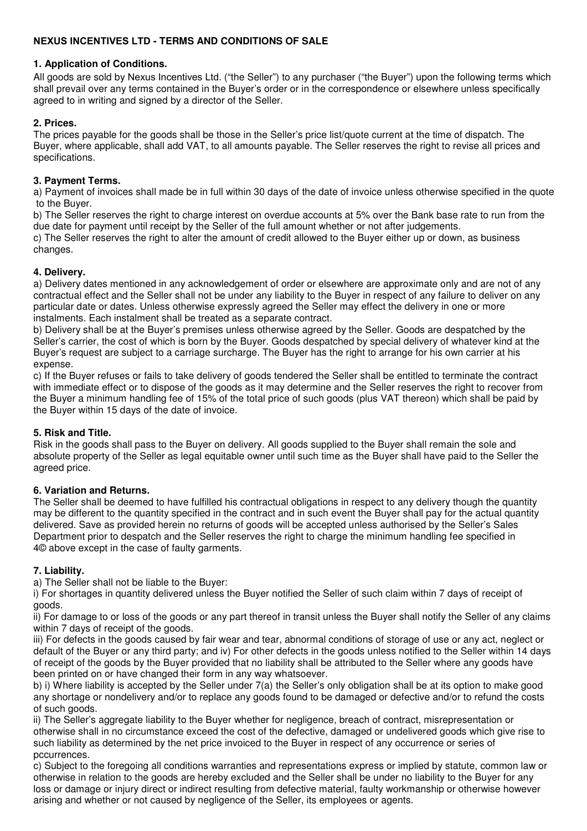# **NEXUS INCENTIVES LTD - TERMS AND CONDITIONS OF SALE**

## **1. Application of Conditions.**

All goods are sold by Nexus Incentives Ltd. ("the Seller") to any purchaser ("the Buyer") upon the following terms which shall prevail over any terms contained in the Buyer's order or in the correspondence or elsewhere unless specifically agreed to in writing and signed by a director of the Seller.

# **2. Prices.**

The prices payable for the goods shall be those in the Seller's price list/quote current at the time of dispatch. The Buyer, where applicable, shall add VAT, to all amounts payable. The Seller reserves the right to revise all prices and specifications.

## **3. Payment Terms.**

a) Payment of invoices shall made be in full within 30 days of the date of invoice unless otherwise specified in the quote to the Buyer.

b) The Seller reserves the right to charge interest on overdue accounts at 5% over the Bank base rate to run from the due date for payment until receipt by the Seller of the full amount whether or not after judgements.

c) The Seller reserves the right to alter the amount of credit allowed to the Buyer either up or down, as business changes.

## **4. Delivery.**

a) Delivery dates mentioned in any acknowledgement of order or elsewhere are approximate only and are not of any contractual effect and the Seller shall not be under any liability to the Buyer in respect of any failure to deliver on any particular date or dates. Unless otherwise expressly agreed the Seller may effect the delivery in one or more instalments. Each instalment shall be treated as a separate contract.

b) Delivery shall be at the Buyer's premises unless otherwise agreed by the Seller. Goods are despatched by the Seller's carrier, the cost of which is born by the Buyer. Goods despatched by special delivery of whatever kind at the Buyer's request are subject to a carriage surcharge. The Buyer has the right to arrange for his own carrier at his expense.

c) If the Buyer refuses or fails to take delivery of goods tendered the Seller shall be entitled to terminate the contract with immediate effect or to dispose of the goods as it may determine and the Seller reserves the right to recover from the Buyer a minimum handling fee of 15% of the total price of such goods (plus VAT thereon) which shall be paid by the Buyer within 15 days of the date of invoice.

### **5. Risk and Title.**

Risk in the goods shall pass to the Buyer on delivery. All goods supplied to the Buyer shall remain the sole and absolute property of the Seller as legal equitable owner until such time as the Buyer shall have paid to the Seller the agreed price.

### **6. Variation and Returns.**

The Seller shall be deemed to have fulfilled his contractual obligations in respect to any delivery though the quantity may be different to the quantity specified in the contract and in such event the Buyer shall pay for the actual quantity delivered. Save as provided herein no returns of goods will be accepted unless authorised by the Seller's Sales Department prior to despatch and the Seller reserves the right to charge the minimum handling fee specified in 4© above except in the case of faulty garments.

### **7. Liability.**

a) The Seller shall not be liable to the Buyer:

i) For shortages in quantity delivered unless the Buyer notified the Seller of such claim within 7 days of receipt of goods.

ii) For damage to or loss of the goods or any part thereof in transit unless the Buyer shall notify the Seller of any claims within 7 days of receipt of the goods.

iii) For defects in the goods caused by fair wear and tear, abnormal conditions of storage of use or any act, neglect or default of the Buyer or any third party; and iv) For other defects in the goods unless notified to the Seller within 14 days of receipt of the goods by the Buyer provided that no liability shall be attributed to the Seller where any goods have been printed on or have changed their form in any way whatsoever.

b) i) Where liability is accepted by the Seller under 7(a) the Seller's only obligation shall be at its option to make good any shortage or nondelivery and/or to replace any goods found to be damaged or defective and/or to refund the costs of such goods.

ii) The Seller's aggregate liability to the Buyer whether for negligence, breach of contract, misrepresentation or otherwise shall in no circumstance exceed the cost of the defective, damaged or undelivered goods which give rise to such liability as determined by the net price invoiced to the Buyer in respect of any occurrence or series of pccurrences.

c) Subject to the foregoing all conditions warranties and representations express or implied by statute, common law or otherwise in relation to the goods are hereby excluded and the Seller shall be under no liability to the Buyer for any loss or damage or injury direct or indirect resulting from defective material, faulty workmanship or otherwise however arising and whether or not caused by negligence of the Seller, its employees or agents.